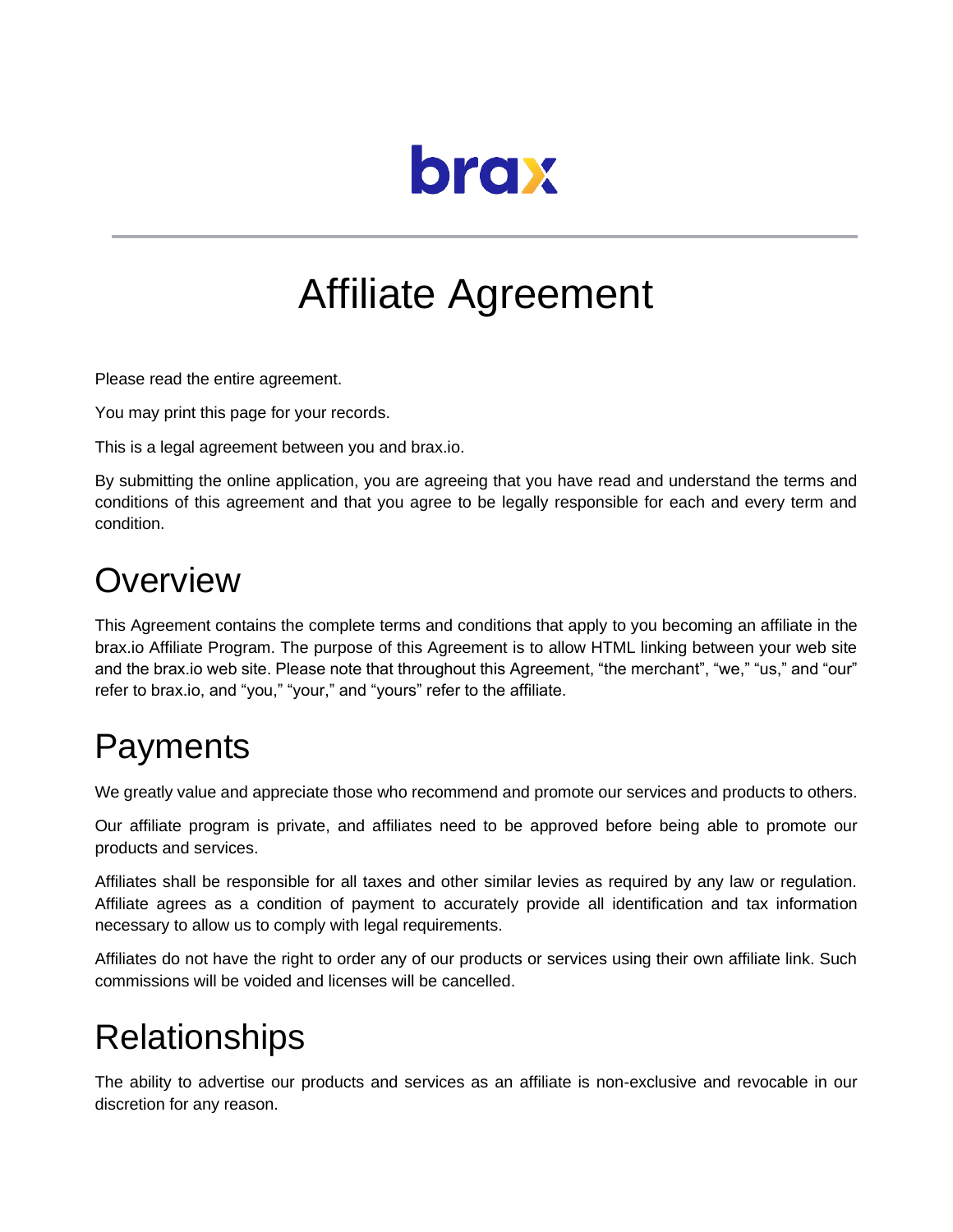

# Affiliate Agreement

Please read the entire agreement.

You may print this page for your records.

This is a legal agreement between you and brax.io.

By submitting the online application, you are agreeing that you have read and understand the terms and conditions of this agreement and that you agree to be legally responsible for each and every term and condition.

#### **Overview**

This Agreement contains the complete terms and conditions that apply to you becoming an affiliate in the brax.io Affiliate Program. The purpose of this Agreement is to allow HTML linking between your web site and the brax.io web site. Please note that throughout this Agreement, "the merchant", "we," "us," and "our" refer to brax.io, and "you," "your," and "yours" refer to the affiliate.

#### **Payments**

We greatly value and appreciate those who recommend and promote our services and products to others.

Our affiliate program is private, and affiliates need to be approved before being able to promote our products and services.

Affiliates shall be responsible for all taxes and other similar levies as required by any law or regulation. Affiliate agrees as a condition of payment to accurately provide all identification and tax information necessary to allow us to comply with legal requirements.

Affiliates do not have the right to order any of our products or services using their own affiliate link. Such commissions will be voided and licenses will be cancelled.

### **Relationships**

The ability to advertise our products and services as an affiliate is non-exclusive and revocable in our discretion for any reason.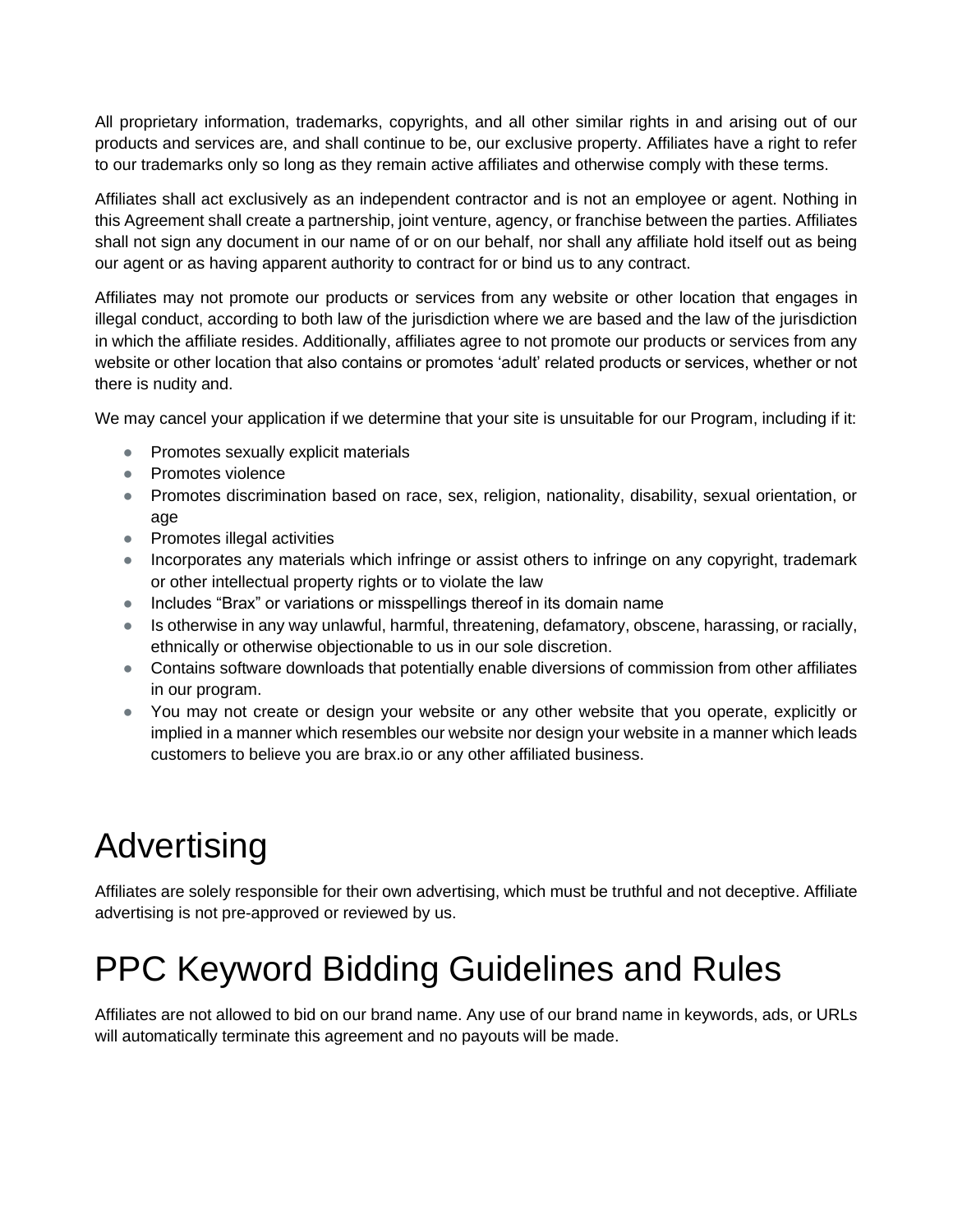All proprietary information, trademarks, copyrights, and all other similar rights in and arising out of our products and services are, and shall continue to be, our exclusive property. Affiliates have a right to refer to our trademarks only so long as they remain active affiliates and otherwise comply with these terms.

Affiliates shall act exclusively as an independent contractor and is not an employee or agent. Nothing in this Agreement shall create a partnership, joint venture, agency, or franchise between the parties. Affiliates shall not sign any document in our name of or on our behalf, nor shall any affiliate hold itself out as being our agent or as having apparent authority to contract for or bind us to any contract.

Affiliates may not promote our products or services from any website or other location that engages in illegal conduct, according to both law of the jurisdiction where we are based and the law of the jurisdiction in which the affiliate resides. Additionally, affiliates agree to not promote our products or services from any website or other location that also contains or promotes 'adult' related products or services, whether or not there is nudity and.

We may cancel your application if we determine that your site is unsuitable for our Program, including if it:

- Promotes sexually explicit materials
- Promotes violence
- Promotes discrimination based on race, sex, religion, nationality, disability, sexual orientation, or age
- Promotes illegal activities
- Incorporates any materials which infringe or assist others to infringe on any copyright, trademark or other intellectual property rights or to violate the law
- Includes "Brax" or variations or misspellings thereof in its domain name
- Is otherwise in any way unlawful, harmful, threatening, defamatory, obscene, harassing, or racially, ethnically or otherwise objectionable to us in our sole discretion.
- Contains software downloads that potentially enable diversions of commission from other affiliates in our program.
- You may not create or design your website or any other website that you operate, explicitly or implied in a manner which resembles our website nor design your website in a manner which leads customers to believe you are brax.io or any other affiliated business.

## **Advertising**

Affiliates are solely responsible for their own advertising, which must be truthful and not deceptive. Affiliate advertising is not pre-approved or reviewed by us.

### PPC Keyword Bidding Guidelines and Rules

Affiliates are not allowed to bid on our brand name. Any use of our brand name in keywords, ads, or URLs will automatically terminate this agreement and no payouts will be made.